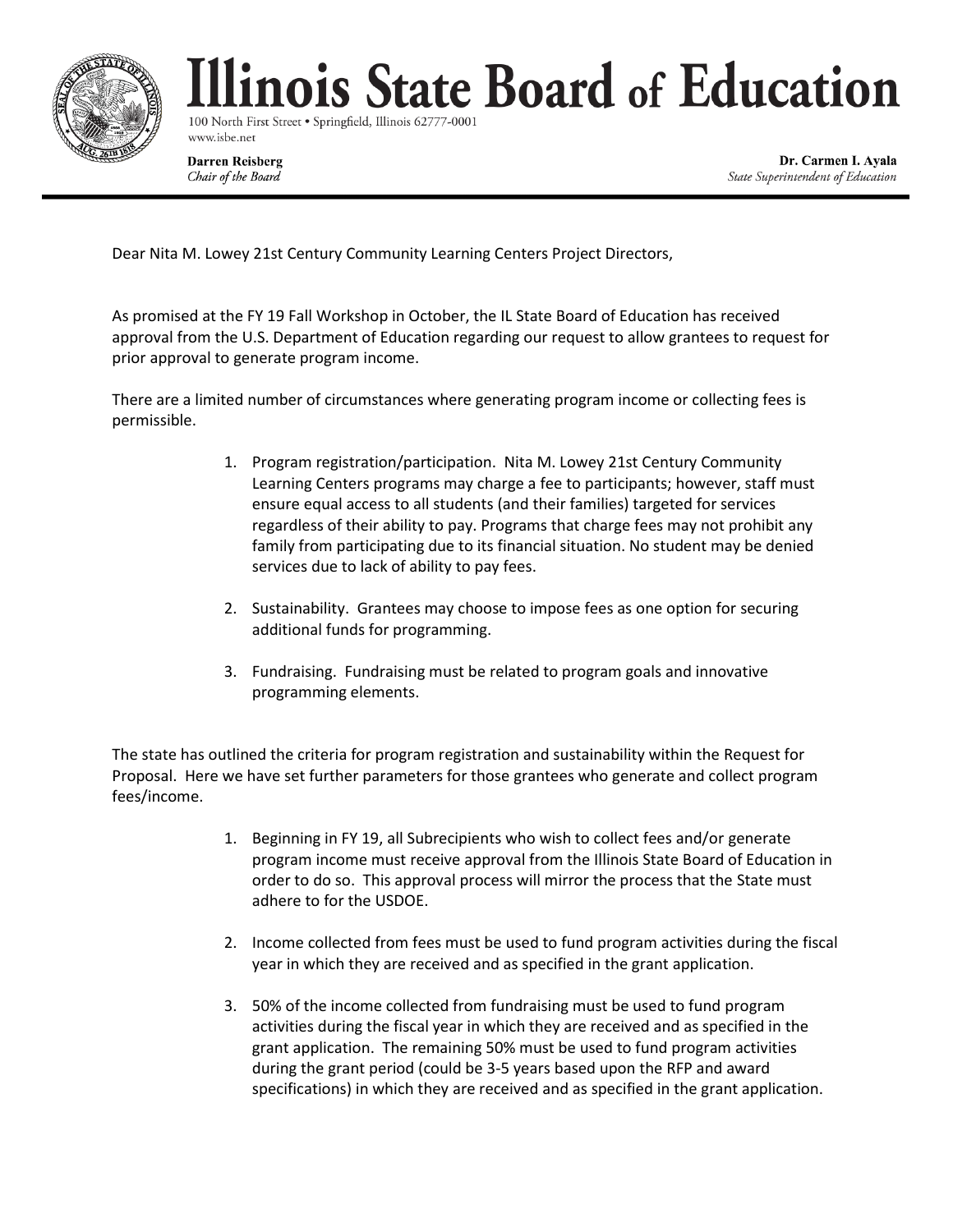

## linois State Board of Education

100 North First Street . Springfield, Illinois 62777-0001 www.isbe.net

**Darren Reisberg** Chair of the Board

Dr. Carmen I. Ayala State Superintendent of Education

Dear Nita M. Lowey 21st Century Community Learning Centers Project Directors,

As promised at the FY 19 Fall Workshop in October, the IL State Board of Education has received approval from the U.S. Department of Education regarding our request to allow grantees to request for prior approval to generate program income.

There are a limited number of circumstances where generating program income or collecting fees is permissible.

- 1. Program registration/participation. Nita M. Lowey 21st Century Community Learning Centers programs may charge a fee to participants; however, staff must ensure equal access to all students (and their families) targeted for services regardless of their ability to pay. Programs that charge fees may not prohibit any family from participating due to its financial situation. No student may be denied services due to lack of ability to pay fees.
- 2. Sustainability. Grantees may choose to impose fees as one option for securing additional funds for programming.
- 3. Fundraising. Fundraising must be related to program goals and innovative programming elements.

The state has outlined the criteria for program registration and sustainability within the Request for Proposal. Here we have set further parameters for those grantees who generate and collect program fees/income.

- 1. Beginning in FY 19, all Subrecipients who wish to collect fees and/or generate program income must receive approval from the Illinois State Board of Education in order to do so. This approval process will mirror the process that the State must adhere to for the USDOE.
- 2. Income collected from fees must be used to fund program activities during the fiscal year in which they are received and as specified in the grant application.
- 3. 50% of the income collected from fundraising must be used to fund program activities during the fiscal year in which they are received and as specified in the grant application. The remaining 50% must be used to fund program activities during the grant period (could be 3-5 years based upon the RFP and award specifications) in which they are received and as specified in the grant application.